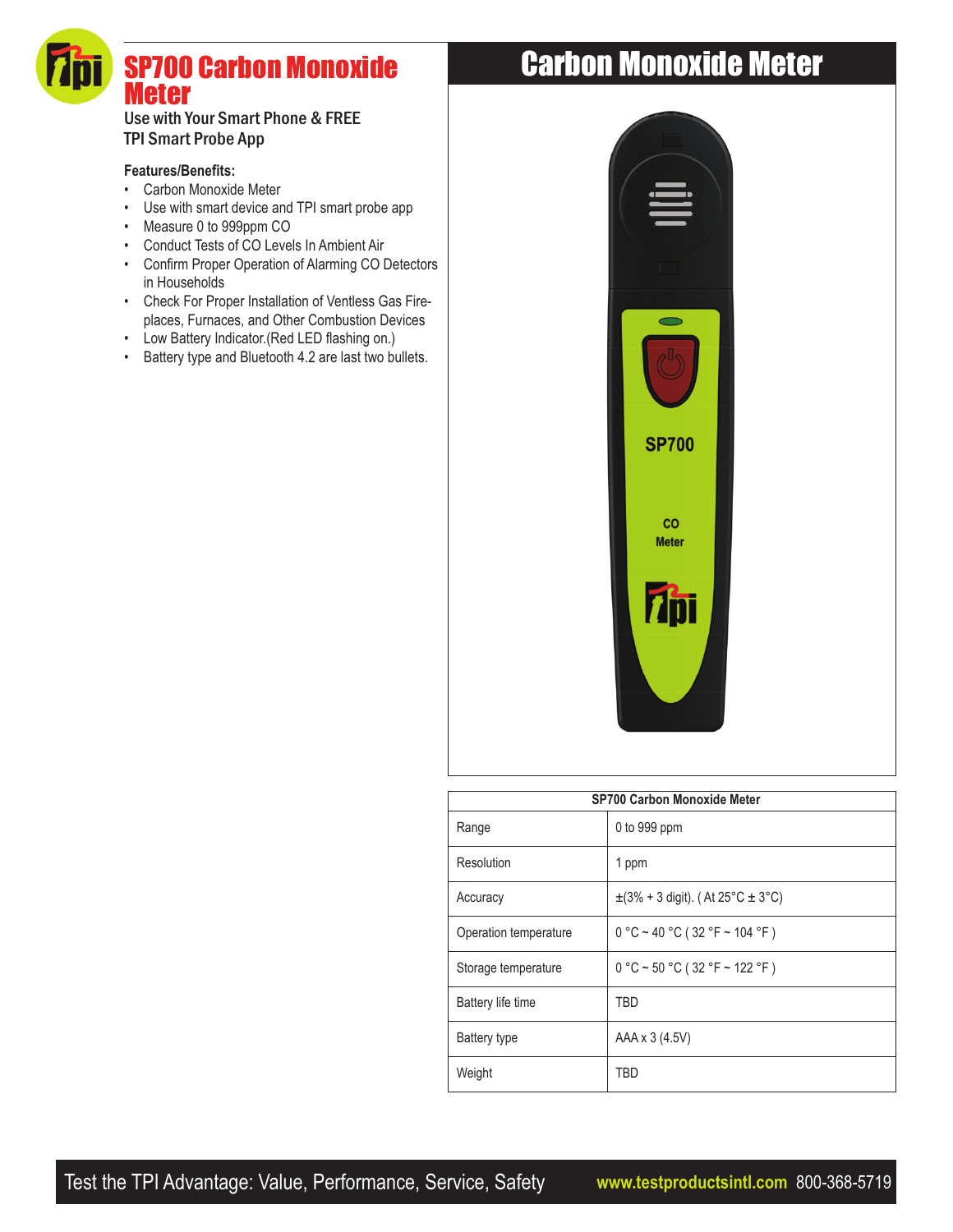# SP700 Carbon Monoxide Meter

### Use with Your Smart Phone & FREE TPI Smart Probe App

#### **Features/Benefits:**

- Carbon Monoxide Meter
- Use with smart device and TPI smart probe app
- Measure 0 to 999ppm CO
- Conduct Tests of CO Levels In Ambient Air
- Confirm Proper Operation of Alarming CO Detectors in Households
- Check For Proper Installation of Ventless Gas Fireplaces, Furnaces, and Other Combustion Devices
- Low Battery Indicator.(Red LED flashing on.)
- Battery type and Bluetooth 4.2 are last two bullets.

## Carbon Monoxide Meter



| <b>SP700 Carbon Monoxide Meter</b> |                                           |
|------------------------------------|-------------------------------------------|
| Range                              | 0 to 999 ppm                              |
| Resolution                         | 1 ppm                                     |
| Accuracy                           | $\pm$ (3% + 3 digit). (At 25°C $\pm$ 3°C) |
| Operation temperature              | $0 °C \sim 40 °C (32 °F \sim 104 °F)$     |
| Storage temperature                | $0 °C \sim 50 °C (32 °F \sim 122 °F)$     |
| Battery life time                  | TBD                                       |
| Battery type                       | AAA x 3 (4.5V)                            |
| Weight                             | TBD                                       |